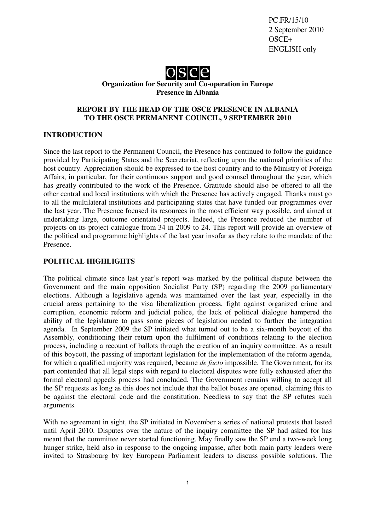PC.FR/15/10 2 September 2010 OSCE+ ENGLISH only



**Organization for Security and Co-operation in Europe Presence in Albania**

#### **REPORT BY THE HEAD OF THE OSCE PRESENCE IN ALBANIA TO THE OSCE PERMANENT COUNCIL, 9 SEPTEMBER 2010**

#### **INTRODUCTION**

Since the last report to the Permanent Council, the Presence has continued to follow the guidance provided by Participating States and the Secretariat, reflecting upon the national priorities of the host country. Appreciation should be expressed to the host country and to the Ministry of Foreign Affairs, in particular, for their continuous support and good counsel throughout the year, which has greatly contributed to the work of the Presence. Gratitude should also be offered to all the other central and local institutions with which the Presence has actively engaged. Thanks must go to all the multilateral institutions and participating states that have funded our programmes over the last year. The Presence focused its resources in the most efficient way possible, and aimed at undertaking large, outcome orientated projects. Indeed, the Presence reduced the number of projects on its project catalogue from 34 in 2009 to 24. This report will provide an overview of the political and programme highlights of the last year insofar as they relate to the mandate of the Presence.

#### **POLITICAL HIGHLIGHTS**

The political climate since last year's report was marked by the political dispute between the Government and the main opposition Socialist Party (SP) regarding the 2009 parliamentary elections. Although a legislative agenda was maintained over the last year, especially in the crucial areas pertaining to the visa liberalization process, fight against organized crime and corruption, economic reform and judicial police, the lack of political dialogue hampered the ability of the legislature to pass some pieces of legislation needed to further the integration agenda. In September 2009 the SP initiated what turned out to be a six-month boycott of the Assembly, conditioning their return upon the fulfilment of conditions relating to the election process, including a recount of ballots through the creation of an inquiry committee. As a result of this boycott, the passing of important legislation for the implementation of the reform agenda, for which a qualified majority was required, became *de facto* impossible. The Government, for its part contended that all legal steps with regard to electoral disputes were fully exhausted after the formal electoral appeals process had concluded. The Government remains willing to accept all the SP requests as long as this does not include that the ballot boxes are opened, claiming this to be against the electoral code and the constitution. Needless to say that the SP refutes such arguments.

With no agreement in sight, the SP initiated in November a series of national protests that lasted until April 2010. Disputes over the nature of the inquiry committee the SP had asked for has meant that the committee never started functioning. May finally saw the SP end a two-week long hunger strike, held also in response to the ongoing impasse, after both main party leaders were invited to Strasbourg by key European Parliament leaders to discuss possible solutions. The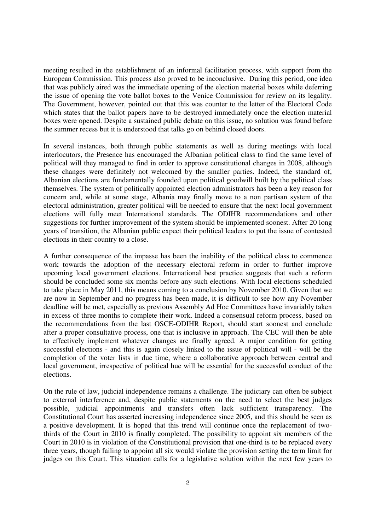meeting resulted in the establishment of an informal facilitation process, with support from the European Commission. This process also proved to be inconclusive. During this period, one idea that was publicly aired was the immediate opening of the election material boxes while deferring the issue of opening the vote ballot boxes to the Venice Commission for review on its legality. The Government, however, pointed out that this was counter to the letter of the Electoral Code which states that the ballot papers have to be destroyed immediately once the election material boxes were opened. Despite a sustained public debate on this issue, no solution was found before the summer recess but it is understood that talks go on behind closed doors.

In several instances, both through public statements as well as during meetings with local interlocutors, the Presence has encouraged the Albanian political class to find the same level of political will they managed to find in order to approve constitutional changes in 2008, although these changes were definitely not welcomed by the smaller parties. Indeed, the standard of, Albanian elections are fundamentally founded upon political goodwill built by the political class themselves. The system of politically appointed election administrators has been a key reason for concern and, while at some stage, Albania may finally move to a non partisan system of the electoral administration, greater political will be needed to ensure that the next local government elections will fully meet International standards. The ODIHR recommendations and other suggestions for further improvement of the system should be implemented soonest. After 20 long years of transition, the Albanian public expect their political leaders to put the issue of contested elections in their country to a close.

A further consequence of the impasse has been the inability of the political class to commence work towards the adoption of the necessary electoral reform in order to further improve upcoming local government elections. International best practice suggests that such a reform should be concluded some six months before any such elections. With local elections scheduled to take place in May 2011, this means coming to a conclusion by November 2010. Given that we are now in September and no progress has been made, it is difficult to see how any November deadline will be met, especially as previous Assembly Ad Hoc Committees have invariably taken in excess of three months to complete their work. Indeed a consensual reform process, based on the recommendations from the last OSCE-ODIHR Report, should start soonest and conclude after a proper consultative process, one that is inclusive in approach. The CEC will then be able to effectively implement whatever changes are finally agreed. A major condition for getting successful elections - and this is again closely linked to the issue of political will - will be the completion of the voter lists in due time, where a collaborative approach between central and local government, irrespective of political hue will be essential for the successful conduct of the elections.

On the rule of law, judicial independence remains a challenge. The judiciary can often be subject to external interference and, despite public statements on the need to select the best judges possible, judicial appointments and transfers often lack sufficient transparency. The Constitutional Court has asserted increasing independence since 2005, and this should be seen as a positive development. It is hoped that this trend will continue once the replacement of twothirds of the Court in 2010 is finally completed. The possibility to appoint six members of the Court in 2010 is in violation of the Constitutional provision that one-third is to be replaced every three years, though failing to appoint all six would violate the provision setting the term limit for judges on this Court. This situation calls for a legislative solution within the next few years to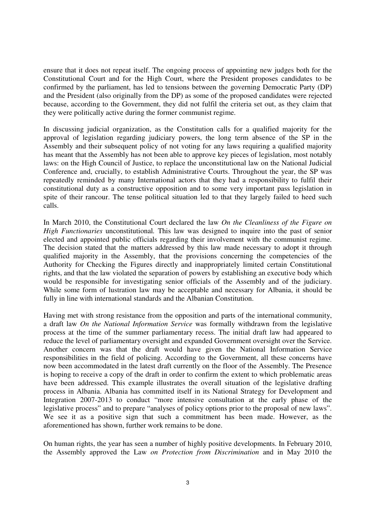ensure that it does not repeat itself. The ongoing process of appointing new judges both for the Constitutional Court and for the High Court, where the President proposes candidates to be confirmed by the parliament, has led to tensions between the governing Democratic Party (DP) and the President (also originally from the DP) as some of the proposed candidates were rejected because, according to the Government, they did not fulfil the criteria set out, as they claim that they were politically active during the former communist regime.

In discussing judicial organization, as the Constitution calls for a qualified majority for the approval of legislation regarding judiciary powers, the long term absence of the SP in the Assembly and their subsequent policy of not voting for any laws requiring a qualified majority has meant that the Assembly has not been able to approve key pieces of legislation, most notably laws: on the High Council of Justice, to replace the unconstitutional law on the National Judicial Conference and, crucially, to establish Administrative Courts. Throughout the year, the SP was repeatedly reminded by many International actors that they had a responsibility to fulfil their constitutional duty as a constructive opposition and to some very important pass legislation in spite of their rancour. The tense political situation led to that they largely failed to heed such calls.

In March 2010, the Constitutional Court declared the law *On the Cleanliness of the Figure on High Functionaries* unconstitutional*.* This law was designed to inquire into the past of senior elected and appointed public officials regarding their involvement with the communist regime. The decision stated that the matters addressed by this law made necessary to adopt it through qualified majority in the Assembly, that the provisions concerning the competencies of the Authority for Checking the Figures directly and inappropriately limited certain Constitutional rights, and that the law violated the separation of powers by establishing an executive body which would be responsible for investigating senior officials of the Assembly and of the judiciary. While some form of lustration law may be acceptable and necessary for Albania, it should be fully in line with international standards and the Albanian Constitution.

Having met with strong resistance from the opposition and parts of the international community, a draft law *On the National Information Service* was formally withdrawn from the legislative process at the time of the summer parliamentary recess. The initial draft law had appeared to reduce the level of parliamentary oversight and expanded Government oversight over the Service. Another concern was that the draft would have given the National Information Service responsibilities in the field of policing. According to the Government, all these concerns have now been accommodated in the latest draft currently on the floor of the Assembly. The Presence is hoping to receive a copy of the draft in order to confirm the extent to which problematic areas have been addressed. This example illustrates the overall situation of the legislative drafting process in Albania. Albania has committed itself in its National Strategy for Development and Integration 2007-2013 to conduct "more intensive consultation at the early phase of the legislative process" and to prepare "analyses of policy options prior to the proposal of new laws". We see it as a positive sign that such a commitment has been made. However, as the aforementioned has shown, further work remains to be done.

On human rights, the year has seen a number of highly positive developments. In February 2010, the Assembly approved the Law *on Protection from Discrimination* and in May 2010 the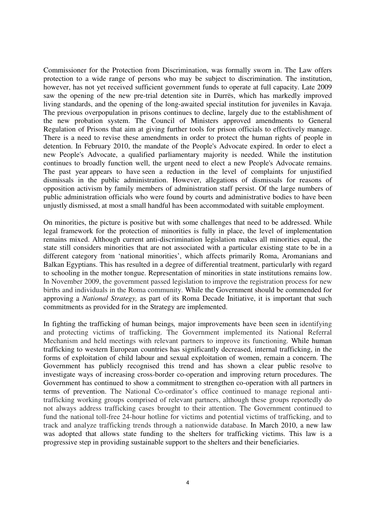Commissioner for the Protection from Discrimination, was formally sworn in. The Law offers protection to a wide range of persons who may be subject to discrimination. The institution, however, has not yet received sufficient government funds to operate at full capacity. Late 2009 saw the opening of the new pre-trial detention site in Durrës, which has markedly improved living standards, and the opening of the long-awaited special institution for juveniles in Kavaja. The previous overpopulation in prisons continues to decline, largely due to the establishment of the new probation system. The Council of Ministers approved amendments to General Regulation of Prisons that aim at giving further tools for prison officials to effectively manage. There is a need to revise these amendments in order to protect the human rights of people in detention. In February 2010, the mandate of the People's Advocate expired. In order to elect a new People's Advocate, a qualified parliamentary majority is needed. While the institution continues to broadly function well, the urgent need to elect a new People's Advocate remains. The past year appears to have seen a reduction in the level of complaints for unjustified dismissals in the public administration. However, allegations of dismissals for reasons of opposition activism by family members of administration staff persist. Of the large numbers of public administration officials who were found by courts and administrative bodies to have been unjustly dismissed, at most a small handful has been accommodated with suitable employment.

On minorities, the picture is positive but with some challenges that need to be addressed. While legal framework for the protection of minorities is fully in place, the level of implementation remains mixed. Although current anti-discrimination legislation makes all minorities equal, the state still considers minorities that are not associated with a particular existing state to be in a different category from 'national minorities', which affects primarily Roma, Aromanians and Balkan Egyptians. This has resulted in a degree of differential treatment, particularly with regard to schooling in the mother tongue. Representation of minorities in state institutions remains low. In November 2009, the government passed legislation to improve the registration process for new births and individuals in the Roma community. While the Government should be commended for approving a *National Strategy,* as part of its Roma Decade Initiative, it is important that such commitments as provided for in the Strategy are implemented.

In fighting the trafficking of human beings*,* major improvements have been seen in identifying and protecting victims of trafficking. The Government implemented its National Referral Mechanism and held meetings with relevant partners to improve its functioning. While human trafficking to western European countries has significantly decreased, internal trafficking, in the forms of exploitation of child labour and sexual exploitation of women, remain a concern. The Government has publicly recognised this trend and has shown a clear public resolve to investigate ways of increasing cross-border co-operation and improving return procedures. The Government has continued to show a commitment to strengthen co-operation with all partners in terms of prevention. The National Co-ordinator's office continued to manage regional antitrafficking working groups comprised of relevant partners, although these groups reportedly do not always address trafficking cases brought to their attention. The Government continued to fund the national toll-free 24-hour hotline for victims and potential victims of trafficking, and to track and analyze trafficking trends through a nationwide database. In March 2010, a new law was adopted that allows state funding to the shelters for trafficking victims. This law is a progressive step in providing sustainable support to the shelters and their beneficiaries.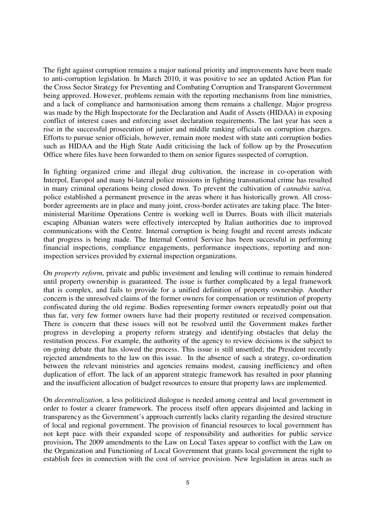The fight against corruption remains a major national priority and improvements have been made to anti-corruption legislation. In March 2010, it was positive to see an updated Action Plan for the Cross Sector Strategy for Preventing and Combating Corruption and Transparent Government being approved. However, problems remain with the reporting mechanisms from line ministries, and a lack of compliance and harmonisation among them remains a challenge. Major progress was made by the High Inspectorate for the Declaration and Audit of Assets (HIDAA) in exposing conflict of interest cases and enforcing asset declaration requirements. The last year has seen a rise in the successful prosecution of junior and middle ranking officials on corruption charges. Efforts to pursue senior officials, however, remain more modest with state anti corruption bodies such as HIDAA and the High State Audit criticising the lack of follow up by the Prosecution Office where files have been forwarded to them on senior figures suspected of corruption.

In fighting organized crime and illegal drug cultivation, the increase in co-operation with Interpol, Europol and many bi-lateral police missions in fighting transnational crime has resulted in many criminal operations being closed down. To prevent the cultivation of *cannabis sativa,* police established a permanent presence in the areas where it has historically grown. All crossborder agreements are in place and many joint, cross-border activates are taking place. The Interministerial Maritime Operations Centre is working well in Durres. Boats with illicit materials escaping Albanian waters were effectively intercepted by Italian authorities due to improved communications with the Centre. Internal corruption is being fought and recent arrests indicate that progress is being made. The Internal Control Service has been successful in performing financial inspections, compliance engagements, performance inspections, reporting and noninspection services provided by external inspection organizations.

On *property reform*, private and public investment and lending will continue to remain hindered until property ownership is guaranteed. The issue is further complicated by a legal framework that is complex, and fails to provide for a unified definition of property ownership. Another concern is the unresolved claims of the former owners for compensation or restitution of property confiscated during the old regime. Bodies representing former owners repeatedly point out that thus far, very few former owners have had their property restituted or received compensation. There is concern that these issues will not be resolved until the Government makes further progress in developing a property reform strategy and identifying obstacles that delay the restitution process. For example, the authority of the agency to review decisions is the subject to on-going debate that has slowed the process. This issue is still unsettled; the President recently rejected amendments to the law on this issue. In the absence of such a strategy, co-ordination between the relevant ministries and agencies remains modest, causing inefficiency and often duplication of effort. The lack of an apparent strategic framework has resulted in poor planning and the insufficient allocation of budget resources to ensure that property laws are implemented.

On *decentralization,* a less politicized dialogue is needed among central and local government in order to foster a clearer framework. The process itself often appears disjointed and lacking in transparency as the Government's approach currently lacks clarity regarding the desired structure of local and regional government. The provision of financial resources to local government has not kept pace with their expanded scope of responsibility and authorities for public service provision**.** The 2009 amendments to the Law on Local Taxes appear to conflict with the Law on the Organization and Functioning of Local Government that grants local government the right to establish fees in connection with the cost of service provision. New legislation in areas such as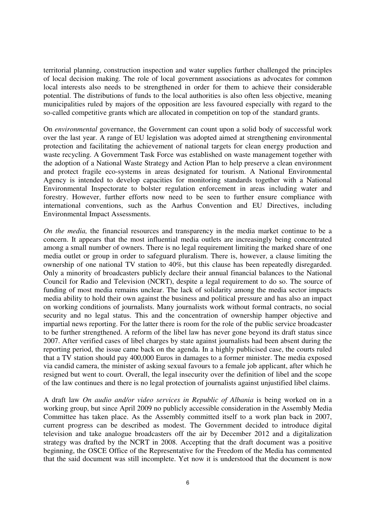territorial planning, construction inspection and water supplies further challenged the principles of local decision making. The role of local government associations as advocates for common local interests also needs to be strengthened in order for them to achieve their considerable potential. The distributions of funds to the local authorities is also often less objective, meaning municipalities ruled by majors of the opposition are less favoured especially with regard to the so-called competitive grants which are allocated in competition on top of the standard grants.

On *environmental* governance, the Government can count upon a solid body of successful work over the last year. A range of EU legislation was adopted aimed at strengthening environmental protection and facilitating the achievement of national targets for clean energy production and waste recycling. A Government Task Force was established on waste management together with the adoption of a National Waste Strategy and Action Plan to help preserve a clean environment and protect fragile eco-systems in areas designated for tourism. A National Environmental Agency is intended to develop capacities for monitoring standards together with a National Environmental Inspectorate to bolster regulation enforcement in areas including water and forestry. However, further efforts now need to be seen to further ensure compliance with international conventions, such as the Aarhus Convention and EU Directives, including Environmental Impact Assessments.

*On the media,* the financial resources and transparency in the media market continue to be a concern. It appears that the most influential media outlets are increasingly being concentrated among a small number of owners. There is no legal requirement limiting the marked share of one media outlet or group in order to safeguard pluralism. There is, however, a clause limiting the ownership of one national TV station to 40%, but this clause has been repeatedly disregarded. Only a minority of broadcasters publicly declare their annual financial balances to the National Council for Radio and Television (NCRT), despite a legal requirement to do so. The source of funding of most media remains unclear. The lack of solidarity among the media sector impacts media ability to hold their own against the business and political pressure and has also an impact on working conditions of journalists. Many journalists work without formal contracts, no social security and no legal status. This and the concentration of ownership hamper objective and impartial news reporting. For the latter there is room for the role of the public service broadcaster to be further strengthened. A reform of the libel law has never gone beyond its draft status since 2007. After verified cases of libel charges by state against journalists had been absent during the reporting period, the issue came back on the agenda. In a highly publicised case, the courts ruled that a TV station should pay 400,000 Euros in damages to a former minister. The media exposed via candid camera, the minister of asking sexual favours to a female job applicant, after which he resigned but went to court. Overall, the legal insecurity over the definition of libel and the scope of the law continues and there is no legal protection of journalists against unjustified libel claims.

A draft law *On audio and/or video services in Republic of Albania* is being worked on in a working group, but since April 2009 no publicly accessible consideration in the Assembly Media Committee has taken place. As the Assembly committed itself to a work plan back in 2007, current progress can be described as modest. The Government decided to introduce digital television and take analogue broadcasters off the air by December 2012 and a digitalization strategy was drafted by the NCRT in 2008. Accepting that the draft document was a positive beginning, the OSCE Office of the Representative for the Freedom of the Media has commented that the said document was still incomplete. Yet now it is understood that the document is now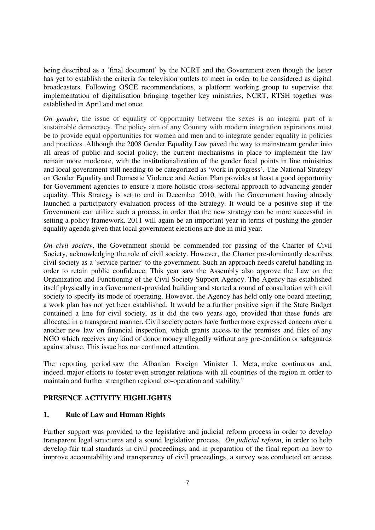being described as a 'final document' by the NCRT and the Government even though the latter has yet to establish the criteria for television outlets to meet in order to be considered as digital broadcasters. Following OSCE recommendations, a platform working group to supervise the implementation of digitalisation bringing together key ministries, NCRT, RTSH together was established in April and met once.

*On gender*, the issue of equality of opportunity between the sexes is an integral part of a sustainable democracy. The policy aim of any Country with modern integration aspirations must be to provide equal opportunities for women and men and to integrate gender equality in policies and practices. Although the 2008 Gender Equality Law paved the way to mainstream gender into all areas of public and social policy, the current mechanisms in place to implement the law remain more moderate, with the institutionalization of the gender focal points in line ministries and local government still needing to be categorized as 'work in progress'. The National Strategy on Gender Equality and Domestic Violence and Action Plan provides at least a good opportunity for Government agencies to ensure a more holistic cross sectoral approach to advancing gender equality. This Strategy is set to end in December 2010, with the Government having already launched a participatory evaluation process of the Strategy. It would be a positive step if the Government can utilize such a process in order that the new strategy can be more successful in setting a policy framework. 2011 will again be an important year in terms of pushing the gender equality agenda given that local government elections are due in mid year.

*On civil society*, the Government should be commended for passing of the Charter of Civil Society, acknowledging the role of civil society. However, the Charter pre-dominantly describes civil society as a 'service partner' to the government. Such an approach needs careful handling in order to retain public confidence. This year saw the Assembly also approve the Law on the Organization and Functioning of the Civil Society Support Agency. The Agency has established itself physically in a Government-provided building and started a round of consultation with civil society to specify its mode of operating. However, the Agency has held only one board meeting; a work plan has not yet been established. It would be a further positive sign if the State Budget contained a line for civil society, as it did the two years ago, provided that these funds are allocated in a transparent manner. Civil society actors have furthermore expressed concern over a another new law on financial inspection, which grants access to the premises and files of any NGO which receives any kind of donor money allegedly without any pre-condition or safeguards against abuse. This issue has our continued attention.

The reporting period saw the Albanian Foreign Minister I. Meta, make continuous and, indeed, major efforts to foster even stronger relations with all countries of the region in order to maintain and further strengthen regional co-operation and stability."

# **PRESENCE ACTIVITY HIGHLIGHTS**

# **1. Rule of Law and Human Rights**

Further support was provided to the legislative and judicial reform process in order to develop transparent legal structures and a sound legislative process. *On judicial reform*, in order to help develop fair trial standards in civil proceedings, and in preparation of the final report on how to improve accountability and transparency of civil proceedings, a survey was conducted on access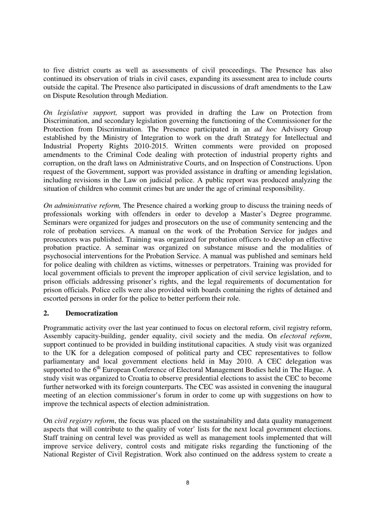to five district courts as well as assessments of civil proceedings. The Presence has also continued its observation of trials in civil cases, expanding its assessment area to include courts outside the capital. The Presence also participated in discussions of draft amendments to the Law on Dispute Resolution through Mediation.

*On legislative support,* support was provided in drafting the Law on Protection from Discrimination, and secondary legislation governing the functioning of the Commissioner for the Protection from Discrimination. The Presence participated in an *ad hoc* Advisory Group established by the Ministry of Integration to work on the draft Strategy for Intellectual and Industrial Property Rights 2010-2015. Written comments were provided on proposed amendments to the Criminal Code dealing with protection of industrial property rights and corruption, on the draft laws on Administrative Courts, and on Inspection of Constructions. Upon request of the Government, support was provided assistance in drafting or amending legislation, including revisions in the Law on judicial police. A public report was produced analyzing the situation of children who commit crimes but are under the age of criminal responsibility.

*On administrative reform,* The Presence chaired a working group to discuss the training needs of professionals working with offenders in order to develop a Master's Degree programme. Seminars were organized for judges and prosecutors on the use of community sentencing and the role of probation services. A manual on the work of the Probation Service for judges and prosecutors was published. Training was organized for probation officers to develop an effective probation practice. A seminar was organized on substance misuse and the modalities of psychosocial interventions for the Probation Service. A manual was published and seminars held for police dealing with children as victims, witnesses or perpetrators. Training was provided for local government officials to prevent the improper application of civil service legislation, and to prison officials addressing prisoner's rights, and the legal requirements of documentation for prison officials. Police cells were also provided with boards containing the rights of detained and escorted persons in order for the police to better perform their role.

# **2. Democratization**

Programmatic activity over the last year continued to focus on electoral reform, civil registry reform, Assembly capacity-building, gender equality, civil society and the media. On *electoral reform*, support continued to be provided in building institutional capacities. A study visit was organized to the UK for a delegation composed of political party and CEC representatives to follow parliamentary and local government elections held in May 2010. A CEC delegation was supported to the 6<sup>th</sup> European Conference of Electoral Management Bodies held in The Hague. A study visit was organized to Croatia to observe presidential elections to assist the CEC to become further networked with its foreign counterparts. The CEC was assisted in convening the inaugural meeting of an election commissioner's forum in order to come up with suggestions on how to improve the technical aspects of election administration.

On *civil registry reform*, the focus was placed on the sustainability and data quality management aspects that will contribute to the quality of voter' lists for the next local government elections. Staff training on central level was provided as well as management tools implemented that will improve service delivery, control costs and mitigate risks regarding the functioning of the National Register of Civil Registration. Work also continued on the address system to create a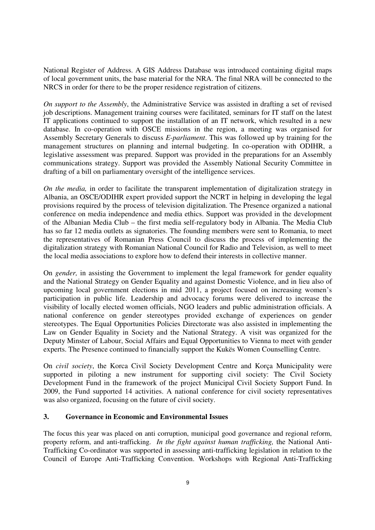National Register of Address. A GIS Address Database was introduced containing digital maps of local government units, the base material for the NRA. The final NRA will be connected to the NRCS in order for there to be the proper residence registration of citizens.

*On support to the Assembly*, the Administrative Service was assisted in drafting a set of revised job descriptions. Management training courses were facilitated, seminars for IT staff on the latest IT applications continued to support the installation of an IT network, which resulted in a new database. In co-operation with OSCE missions in the region, a meeting was organised for Assembly Secretary Generals to discuss *E-parliament*. This was followed up by training for the management structures on planning and internal budgeting. In co-operation with ODIHR, a legislative assessment was prepared. Support was provided in the preparations for an Assembly communications strategy. Support was provided the Assembly National Security Committee in drafting of a bill on parliamentary oversight of the intelligence services.

*On the media,* in order to facilitate the transparent implementation of digitalization strategy in Albania, an OSCE/ODIHR expert provided support the NCRT in helping in developing the legal provisions required by the process of television digitalization. The Presence organized a national conference on media independence and media ethics. Support was provided in the development of the Albanian Media Club – the first media self-regulatory body in Albania. The Media Club has so far 12 media outlets as signatories. The founding members were sent to Romania, to meet the representatives of Romanian Press Council to discuss the process of implementing the digitalization strategy with Romanian National Council for Radio and Television, as well to meet the local media associations to explore how to defend their interests in collective manner.

On *gender,* in assisting the Government to implement the legal framework for gender equality and the National Strategy on Gender Equality and against Domestic Violence, and in lieu also of upcoming local government elections in mid 2011, a project focused on increasing women's participation in public life. Leadership and advocacy forums were delivered to increase the visibility of locally elected women officials, NGO leaders and public administration officials. A national conference on gender stereotypes provided exchange of experiences on gender stereotypes. The Equal Opportunities Policies Directorate was also assisted in implementing the Law on Gender Equality in Society and the National Strategy. A visit was organized for the Deputy Minster of Labour, Social Affairs and Equal Opportunities to Vienna to meet with gender experts. The Presence continued to financially support the Kukës Women Counselling Centre.

On *civil society*, the Korca Civil Society Development Centre and Korça Municipality were supported in piloting a new instrument for supporting civil society: The Civil Society Development Fund in the framework of the project Municipal Civil Society Support Fund. In 2009, the Fund supported 14 activities. A national conference for civil society representatives was also organized, focusing on the future of civil society.

# **3. Governance in Economic and Environmental Issues**

The focus this year was placed on anti corruption, municipal good governance and regional reform, property reform, and anti-trafficking. *In the fight against human trafficking,* the National Anti-Trafficking Co-ordinator was supported in assessing anti-trafficking legislation in relation to the Council of Europe Anti-Trafficking Convention. Workshops with Regional Anti-Trafficking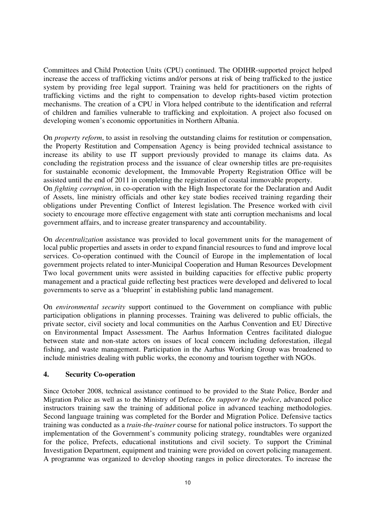Committees and Child Protection Units (CPU) continued. The ODIHR-supported project helped increase the access of trafficking victims and/or persons at risk of being trafficked to the justice system by providing free legal support. Training was held for practitioners on the rights of trafficking victims and the right to compensation to develop rights-based victim protection mechanisms. The creation of a CPU in Vlora helped contribute to the identification and referral of children and families vulnerable to trafficking and exploitation. A project also focused on developing women's economic opportunities in Northern Albania.

On *property reform*, to assist in resolving the outstanding claims for restitution or compensation, the Property Restitution and Compensation Agency is being provided technical assistance to increase its ability to use IT support previously provided to manage its claims data. As concluding the registration process and the issuance of clear ownership titles are pre-requisites for sustainable economic development, the Immovable Property Registration Office will be assisted until the end of 2011 in completing the registration of coastal immovable property.

On *fighting corruption*, in co-operation with the High Inspectorate for the Declaration and Audit of Assets, line ministry officials and other key state bodies received training regarding their obligations under Preventing Conflict of Interest legislation. The Presence worked with civil society to encourage more effective engagement with state anti corruption mechanisms and local government affairs, and to increase greater transparency and accountability.

On *decentralization* assistance was provided to local government units for the management of local public properties and assets in order to expand financial resources to fund and improve local services. Co-operation continued with the Council of Europe in the implementation of local government projects related to inter-Municipal Cooperation and Human Resources Development Two local government units were assisted in building capacities for effective public property management and a practical guide reflecting best practices were developed and delivered to local governments to serve as a 'blueprint' in establishing public land management.

On *environmental security* support continued to the Government on compliance with public participation obligations in planning processes. Training was delivered to public officials, the private sector, civil society and local communities on the Aarhus Convention and EU Directive on Environmental Impact Assessment. The Aarhus Information Centres facilitated dialogue between state and non-state actors on issues of local concern including deforestation, illegal fishing, and waste management. Participation in the Aarhus Working Group was broadened to include ministries dealing with public works, the economy and tourism together with NGOs.

# **4. Security Co-operation**

Since October 2008, technical assistance continued to be provided to the State Police, Border and Migration Police as well as to the Ministry of Defence. *On support to the police*, advanced police instructors training saw the training of additional police in advanced teaching methodologies. Second language training was completed for the Border and Migration Police. Defensive tactics training was conducted as a *train-the-trainer* course for national police instructors. To support the implementation of the Government's community policing strategy, roundtables were organized for the police, Prefects, educational institutions and civil society. To support the Criminal Investigation Department, equipment and training were provided on covert policing management. A programme was organized to develop shooting ranges in police directorates. To increase the